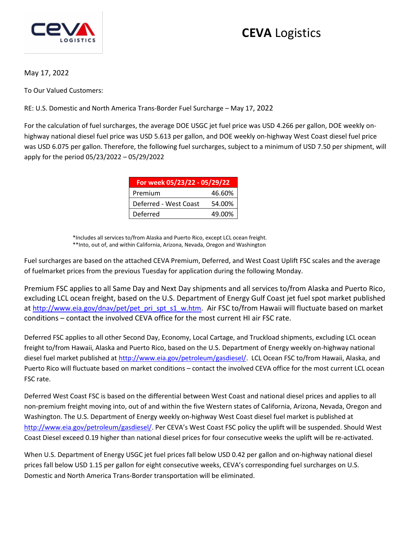

## **CEVA** Logistics

May 17, 2022

To Our Valued Customers:

RE: U.S. Domestic and North America Trans-Border Fuel Surcharge – May 17, 2022

For the calculation of fuel surcharges, the average DOE USGC jet fuel price was USD 4.266 per gallon, DOE weekly onhighway national diesel fuel price was USD 5.613 per gallon, and DOE weekly on-highway West Coast diesel fuel price was USD 6.075 per gallon. Therefore, the following fuel surcharges, subject to a minimum of USD 7.50 per shipment, will apply for the period 05/23/2022 – 05/29/2022

| For week 05/23/22 - 05/29/22 |        |
|------------------------------|--------|
| Premium                      | 46.60% |
| Deferred - West Coast        | 54.00% |
| Deferred                     | 49.00% |

\*Includes all services to/from Alaska and Puerto Rico, except LCL ocean freight. \*\*Into, out of, and within California, Arizona, Nevada, Oregon and Washington

Fuel surcharges are based on the attached CEVA Premium, Deferred, and West Coast Uplift FSC scales and the average of fuelmarket prices from the previous Tuesday for application during the following Monday.

Premium FSC applies to all Same Day and Next Day shipments and all services to/from Alaska and Puerto Rico, excluding LCL ocean freight, based on the U.S. Department of Energy Gulf Coast jet fuel spot market published at [http://www.eia.gov/dnav/pet/pet\\_pri\\_spt\\_s1\\_w.htm](http://www.eia.gov/dnav/pet/pet_pri_spt_s1_w.htm). Air FSC to/from Hawaii will fluctuate based on market conditions – contact the involved CEVA office for the most current HI air FSC rate.

Deferred FSC applies to all other Second Day, Economy, Local Cartage, and Truckload shipments, excluding LCL ocean freight to/from Hawaii, Alaska and Puerto Rico, based on the U.S. Department of Energy weekly on-highway national diesel fuel market published at [http://www.eia.gov/petroleum/gasdiesel/.](http://www.eia.gov/petroleum/gasdiesel/) LCL Ocean FSC to/from Hawaii, Alaska, and Puerto Rico will fluctuate based on market conditions – contact the involved CEVA office for the most current LCL ocean FSC rate.

Deferred West Coast FSC is based on the differential between West Coast and national diesel prices and applies to all non-premium freight moving into, out of and within the five Western states of California, Arizona, Nevada, Oregon and Washington. The U.S. Department of Energy weekly on-highway West Coast diesel fuel market is published at <http://www.eia.gov/petroleum/gasdiesel/>. Per CEVA's West Coast FSC policy the uplift will be suspended. Should West Coast Diesel exceed 0.19 higher than national diesel prices for four consecutive weeks the uplift will be re-activated.

When U.S. Department of Energy USGC jet fuel prices fall below USD 0.42 per gallon and on-highway national diesel prices fall below USD 1.15 per gallon for eight consecutive weeks, CEVA's corresponding fuel surcharges on U.S. Domestic and North America Trans-Border transportation will be eliminated.